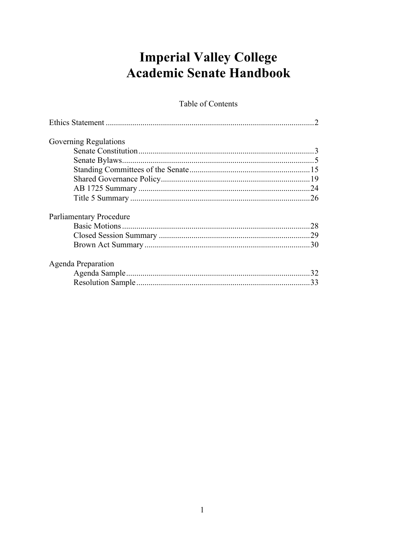# **Imperial Valley College Academic Senate Handbook**

Table of Contents

| <b>Governing Regulations</b> |    |
|------------------------------|----|
|                              |    |
|                              |    |
|                              |    |
|                              |    |
|                              |    |
|                              |    |
| Parliamentary Procedure      |    |
|                              |    |
|                              |    |
|                              |    |
| Agenda Preparation           |    |
|                              | 32 |
|                              | 33 |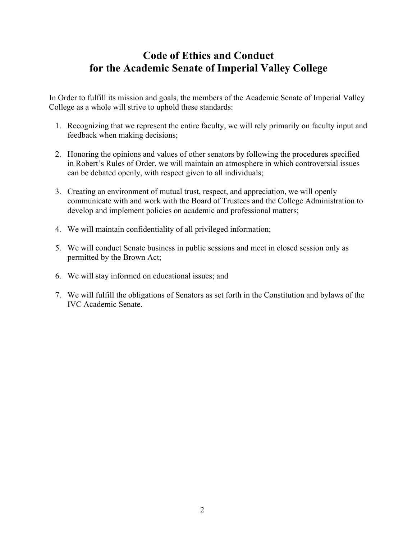## **Code of Ethics and Conduct for the Academic Senate of Imperial Valley College**

In Order to fulfill its mission and goals, the members of the Academic Senate of Imperial Valley College as a whole will strive to uphold these standards:

- 1. Recognizing that we represent the entire faculty, we will rely primarily on faculty input and feedback when making decisions;
- 2. Honoring the opinions and values of other senators by following the procedures specified in Robert's Rules of Order, we will maintain an atmosphere in which controversial issues can be debated openly, with respect given to all individuals;
- 3. Creating an environment of mutual trust, respect, and appreciation, we will openly communicate with and work with the Board of Trustees and the College Administration to develop and implement policies on academic and professional matters;
- 4. We will maintain confidentiality of all privileged information;
- 5. We will conduct Senate business in public sessions and meet in closed session only as permitted by the Brown Act;
- 6. We will stay informed on educational issues; and
- 7. We will fulfill the obligations of Senators as set forth in the Constitution and bylaws of the IVC Academic Senate.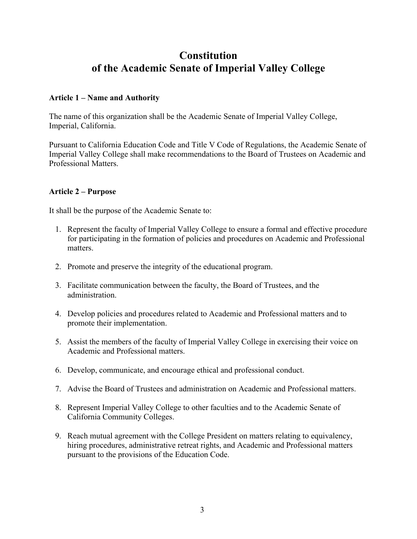## **Constitution of the Academic Senate of Imperial Valley College**

#### **Article 1 – Name and Authority**

The name of this organization shall be the Academic Senate of Imperial Valley College, Imperial, California.

Pursuant to California Education Code and Title V Code of Regulations, the Academic Senate of Imperial Valley College shall make recommendations to the Board of Trustees on Academic and Professional Matters.

#### **Article 2 – Purpose**

It shall be the purpose of the Academic Senate to:

- 1. Represent the faculty of Imperial Valley College to ensure a formal and effective procedure for participating in the formation of policies and procedures on Academic and Professional matters.
- 2. Promote and preserve the integrity of the educational program.
- 3. Facilitate communication between the faculty, the Board of Trustees, and the administration.
- 4. Develop policies and procedures related to Academic and Professional matters and to promote their implementation.
- 5. Assist the members of the faculty of Imperial Valley College in exercising their voice on Academic and Professional matters.
- 6. Develop, communicate, and encourage ethical and professional conduct.
- 7. Advise the Board of Trustees and administration on Academic and Professional matters.
- 8. Represent Imperial Valley College to other faculties and to the Academic Senate of California Community Colleges.
- 9. Reach mutual agreement with the College President on matters relating to equivalency, hiring procedures, administrative retreat rights, and Academic and Professional matters pursuant to the provisions of the Education Code.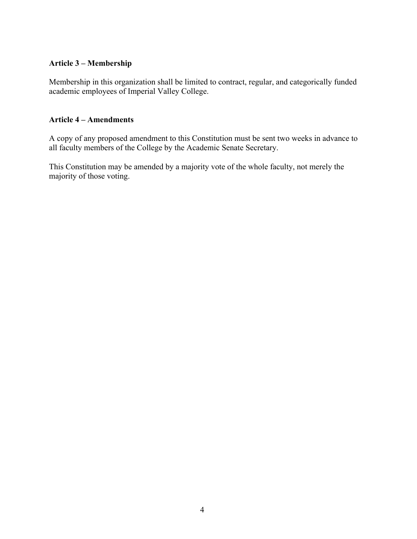#### **Article 3 – Membership**

Membership in this organization shall be limited to contract, regular, and categorically funded academic employees of Imperial Valley College.

#### **Article 4 – Amendments**

A copy of any proposed amendment to this Constitution must be sent two weeks in advance to all faculty members of the College by the Academic Senate Secretary.

This Constitution may be amended by a majority vote of the whole faculty, not merely the majority of those voting.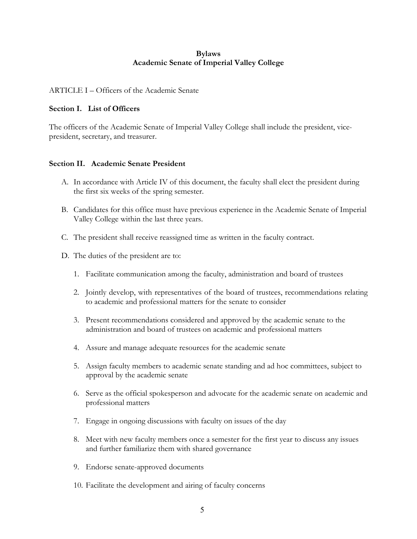#### **Bylaws Academic Senate of Imperial Valley College**

#### ARTICLE I – Officers of the Academic Senate

#### **Section I. List of Officers**

The officers of the Academic Senate of Imperial Valley College shall include the president, vicepresident, secretary, and treasurer.

#### **Section II. Academic Senate President**

- A. In accordance with Article IV of this document, the faculty shall elect the president during the first six weeks of the spring semester.
- B. Candidates for this office must have previous experience in the Academic Senate of Imperial Valley College within the last three years.
- C. The president shall receive reassigned time as written in the faculty contract.
- D. The duties of the president are to:
	- 1. Facilitate communication among the faculty, administration and board of trustees
	- 2. Jointly develop, with representatives of the board of trustees, recommendations relating to academic and professional matters for the senate to consider
	- 3. Present recommendations considered and approved by the academic senate to the administration and board of trustees on academic and professional matters
	- 4. Assure and manage adequate resources for the academic senate
	- 5. Assign faculty members to academic senate standing and ad hoc committees, subject to approval by the academic senate
	- 6. Serve as the official spokesperson and advocate for the academic senate on academic and professional matters
	- 7. Engage in ongoing discussions with faculty on issues of the day
	- 8. Meet with new faculty members once a semester for the first year to discuss any issues and further familiarize them with shared governance
	- 9. Endorse senate-approved documents
	- 10. Facilitate the development and airing of faculty concerns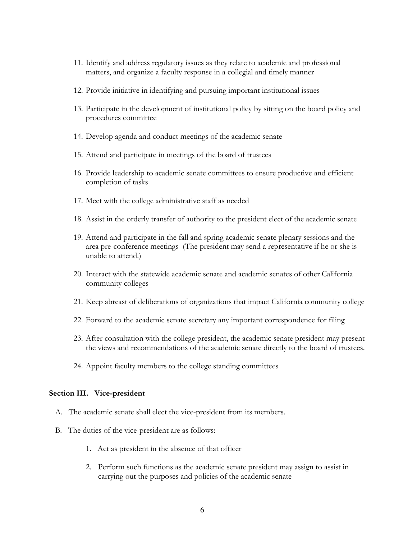- 11. Identify and address regulatory issues as they relate to academic and professional matters, and organize a faculty response in a collegial and timely manner
- 12. Provide initiative in identifying and pursuing important institutional issues
- 13. Participate in the development of institutional policy by sitting on the board policy and procedures committee
- 14. Develop agenda and conduct meetings of the academic senate
- 15. Attend and participate in meetings of the board of trustees
- 16. Provide leadership to academic senate committees to ensure productive and efficient completion of tasks
- 17. Meet with the college administrative staff as needed
- 18. Assist in the orderly transfer of authority to the president elect of the academic senate
- 19. Attend and participate in the fall and spring academic senate plenary sessions and the area pre-conference meetings (The president may send a representative if he or she is unable to attend.)
- 20. Interact with the statewide academic senate and academic senates of other California community colleges
- 21. Keep abreast of deliberations of organizations that impact California community college
- 22. Forward to the academic senate secretary any important correspondence for filing
- 23. After consultation with the college president, the academic senate president may present the views and recommendations of the academic senate directly to the board of trustees.
- 24. Appoint faculty members to the college standing committees

#### **Section III. Vice-president**

- A. The academic senate shall elect the vice-president from its members.
- B. The duties of the vice-president are as follows:
	- 1. Act as president in the absence of that officer
	- 2. Perform such functions as the academic senate president may assign to assist in carrying out the purposes and policies of the academic senate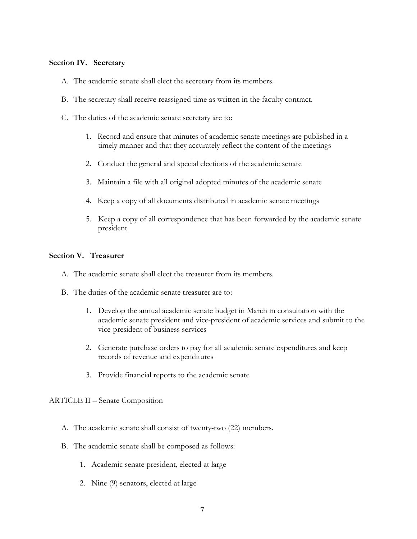#### **Section IV. Secretary**

- A. The academic senate shall elect the secretary from its members.
- B. The secretary shall receive reassigned time as written in the faculty contract.
- C. The duties of the academic senate secretary are to:
	- 1. Record and ensure that minutes of academic senate meetings are published in a timely manner and that they accurately reflect the content of the meetings
	- 2. Conduct the general and special elections of the academic senate
	- 3. Maintain a file with all original adopted minutes of the academic senate
	- 4. Keep a copy of all documents distributed in academic senate meetings
	- 5. Keep a copy of all correspondence that has been forwarded by the academic senate president

#### **Section V. Treasurer**

- A. The academic senate shall elect the treasurer from its members.
- B. The duties of the academic senate treasurer are to:
	- 1. Develop the annual academic senate budget in March in consultation with the academic senate president and vice-president of academic services and submit to the vice-president of business services
	- 2. Generate purchase orders to pay for all academic senate expenditures and keep records of revenue and expenditures
	- 3. Provide financial reports to the academic senate

ARTICLE II – Senate Composition

- A. The academic senate shall consist of twenty-two (22) members.
- B. The academic senate shall be composed as follows:
	- 1. Academic senate president, elected at large
	- 2. Nine (9) senators, elected at large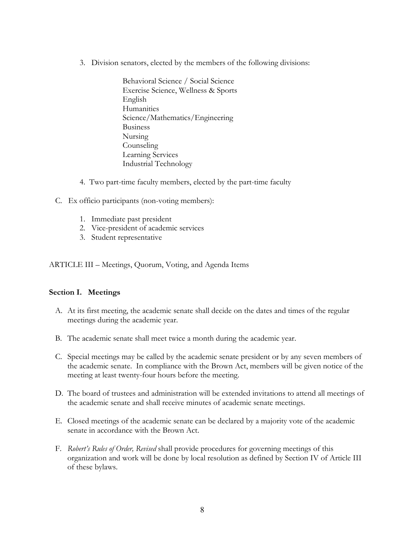- 3. Division senators, elected by the members of the following divisions:
	- Behavioral Science / Social Science Exercise Science, Wellness & Sports English **Humanities** Science/Mathematics/Engineering Business Nursing Counseling Learning Services Industrial Technology
- 4. Two part-time faculty members, elected by the part-time faculty
- C. Ex officio participants (non-voting members):
	- 1. Immediate past president
	- 2. Vice-president of academic services
	- 3. Student representative

ARTICLE III – Meetings, Quorum, Voting, and Agenda Items

#### **Section I. Meetings**

- A. At its first meeting, the academic senate shall decide on the dates and times of the regular meetings during the academic year.
- B. The academic senate shall meet twice a month during the academic year.
- C. Special meetings may be called by the academic senate president or by any seven members of the academic senate. In compliance with the Brown Act, members will be given notice of the meeting at least twenty-four hours before the meeting.
- D. The board of trustees and administration will be extended invitations to attend all meetings of the academic senate and shall receive minutes of academic senate meetings.
- E. Closed meetings of the academic senate can be declared by a majority vote of the academic senate in accordance with the Brown Act.
- F. *Robert's Rules of Order, Revised* shall provide procedures for governing meetings of this organization and work will be done by local resolution as defined by Section IV of Article III of these bylaws.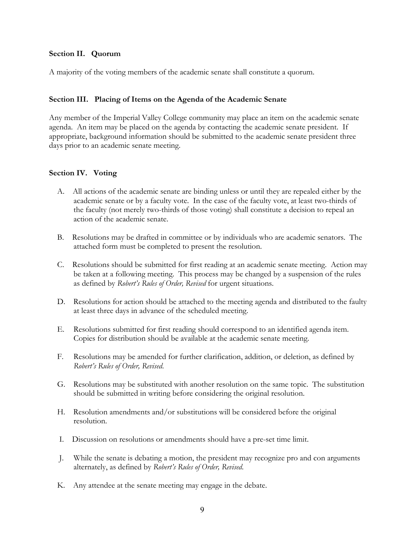#### **Section II. Quorum**

A majority of the voting members of the academic senate shall constitute a quorum.

#### **Section III. Placing of Items on the Agenda of the Academic Senate**

Any member of the Imperial Valley College community may place an item on the academic senate agenda. An item may be placed on the agenda by contacting the academic senate president. If appropriate, background information should be submitted to the academic senate president three days prior to an academic senate meeting.

#### **Section IV. Voting**

- A. All actions of the academic senate are binding unless or until they are repealed either by the academic senate or by a faculty vote. In the case of the faculty vote, at least two-thirds of the faculty (not merely two-thirds of those voting) shall constitute a decision to repeal an action of the academic senate.
- B. Resolutions may be drafted in committee or by individuals who are academic senators. The attached form must be completed to present the resolution.
- C. Resolutions should be submitted for first reading at an academic senate meeting. Action may be taken at a following meeting. This process may be changed by a suspension of the rules as defined by *Robert's Rules of Order, Revised* for urgent situations.
- D. Resolutions for action should be attached to the meeting agenda and distributed to the faulty at least three days in advance of the scheduled meeting.
- E. Resolutions submitted for first reading should correspond to an identified agenda item. Copies for distribution should be available at the academic senate meeting.
- F. Resolutions may be amended for further clarification, addition, or deletion, as defined by *Robert's Rules of Order, Revised*.
- G. Resolutions may be substituted with another resolution on the same topic. The substitution should be submitted in writing before considering the original resolution.
- H. Resolution amendments and/or substitutions will be considered before the original resolution.
- I. Discussion on resolutions or amendments should have a pre-set time limit.
- J. While the senate is debating a motion, the president may recognize pro and con arguments alternately, as defined by *Robert's Rules of Order, Revised*.
- K. Any attendee at the senate meeting may engage in the debate.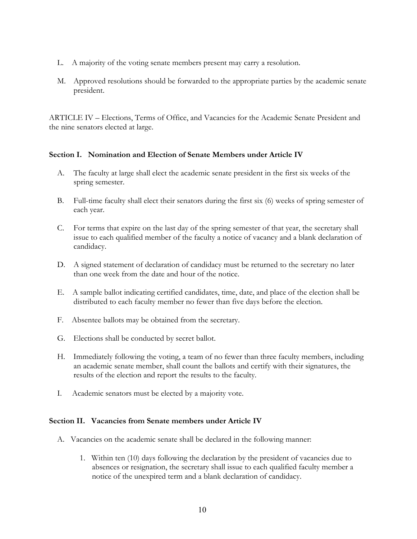- L. A majority of the voting senate members present may carry a resolution.
- M. Approved resolutions should be forwarded to the appropriate parties by the academic senate president.

ARTICLE IV – Elections, Terms of Office, and Vacancies for the Academic Senate President and the nine senators elected at large.

#### **Section I. Nomination and Election of Senate Members under Article IV**

- A. The faculty at large shall elect the academic senate president in the first six weeks of the spring semester.
- B. Full-time faculty shall elect their senators during the first six (6) weeks of spring semester of each year.
- C. For terms that expire on the last day of the spring semester of that year, the secretary shall issue to each qualified member of the faculty a notice of vacancy and a blank declaration of candidacy.
- D. A signed statement of declaration of candidacy must be returned to the secretary no later than one week from the date and hour of the notice.
- E. A sample ballot indicating certified candidates, time, date, and place of the election shall be distributed to each faculty member no fewer than five days before the election.
- F. Absentee ballots may be obtained from the secretary.
- G. Elections shall be conducted by secret ballot.
- H. Immediately following the voting, a team of no fewer than three faculty members, including an academic senate member, shall count the ballots and certify with their signatures, the results of the election and report the results to the faculty.
- I. Academic senators must be elected by a majority vote.

#### **Section II. Vacancies from Senate members under Article IV**

- A. Vacancies on the academic senate shall be declared in the following manner:
	- 1. Within ten (10) days following the declaration by the president of vacancies due to absences or resignation, the secretary shall issue to each qualified faculty member a notice of the unexpired term and a blank declaration of candidacy.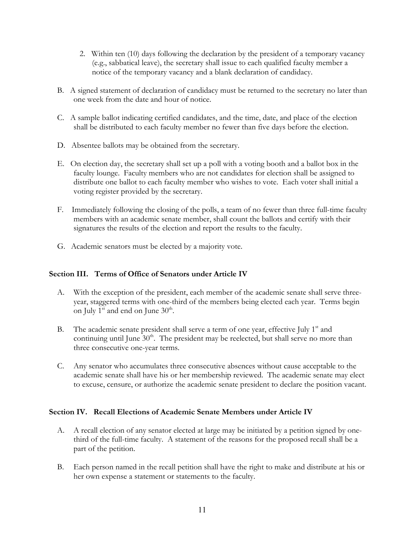- 2. Within ten (10) days following the declaration by the president of a temporary vacancy (e.g., sabbatical leave), the secretary shall issue to each qualified faculty member a notice of the temporary vacancy and a blank declaration of candidacy.
- B. A signed statement of declaration of candidacy must be returned to the secretary no later than one week from the date and hour of notice.
- C. A sample ballot indicating certified candidates, and the time, date, and place of the election shall be distributed to each faculty member no fewer than five days before the election.
- D. Absentee ballots may be obtained from the secretary.
- E. On election day, the secretary shall set up a poll with a voting booth and a ballot box in the faculty lounge. Faculty members who are not candidates for election shall be assigned to distribute one ballot to each faculty member who wishes to vote. Each voter shall initial a voting register provided by the secretary.
- F. Immediately following the closing of the polls, a team of no fewer than three full-time faculty members with an academic senate member, shall count the ballots and certify with their signatures the results of the election and report the results to the faculty.
- G. Academic senators must be elected by a majority vote.

#### **Section III. Terms of Office of Senators under Article IV**

- A. With the exception of the president, each member of the academic senate shall serve threeyear, staggered terms with one-third of the members being elected each year. Terms begin on July  $1<sup>st</sup>$  and end on June  $30<sup>th</sup>$ .
- B. The academic senate president shall serve a term of one year, effective July  $1<sup>st</sup>$  and continuing until June  $30<sup>th</sup>$ . The president may be reelected, but shall serve no more than three consecutive one-year terms.
- C. Any senator who accumulates three consecutive absences without cause acceptable to the academic senate shall have his or her membership reviewed. The academic senate may elect to excuse, censure, or authorize the academic senate president to declare the position vacant.

#### **Section IV. Recall Elections of Academic Senate Members under Article IV**

- A. A recall election of any senator elected at large may be initiated by a petition signed by onethird of the full-time faculty. A statement of the reasons for the proposed recall shall be a part of the petition.
- B. Each person named in the recall petition shall have the right to make and distribute at his or her own expense a statement or statements to the faculty.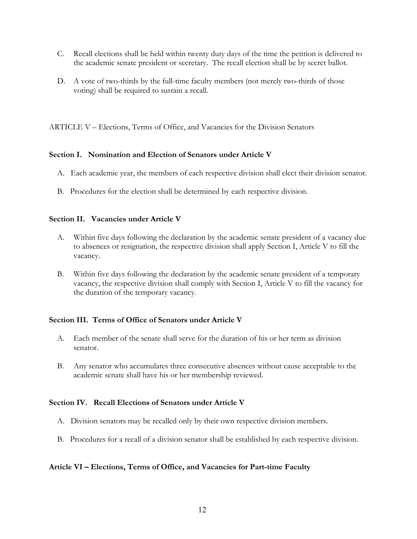- C. Recall elections shall be held within twenty duty days of the time the petition is delivered to the academic senate president or secretary. The recall election shall be by secret ballot.
- D. A vote of two-thirds by the full-time faculty members (not merely two-thirds of those voting) shall be required to sustain a recall.

ARTICLE V – Elections, Terms of Office, and Vacancies for the Division Senators

#### **Section I. Nomination and Election of Senators under Article V**

- A. Each academic year, the members of each respective division shall elect their division senator.
- B. Procedures for the election shall be determined by each respective division.

#### **Section II. Vacancies under Article V**

- A. Within five days following the declaration by the academic senate president of a vacancy due to absences or resignation, the respective division shall apply Section I, Article V to fill the vacancy.
- B. Within five days following the declaration by the academic senate president of a temporary vacancy, the respective division shall comply with Section I, Article V to fill the vacancy for the duration of the temporary vacancy.

#### **Section III. Terms of Office of Senators under Article V**

- A. Each member of the senate shall serve for the duration of his or her term as division senator.
- B. Any senator who accumulates three consecutive absences without cause acceptable to the academic senate shall have his or her membership reviewed.

#### **Section IV. Recall Elections of Senators under Article V**

- A. Division senators may be recalled only by their own respective division members.
- B. Procedures for a recall of a division senator shall be established by each respective division.

#### **Article VI – Elections, Terms of Office, and Vacancies for Part-time Faculty**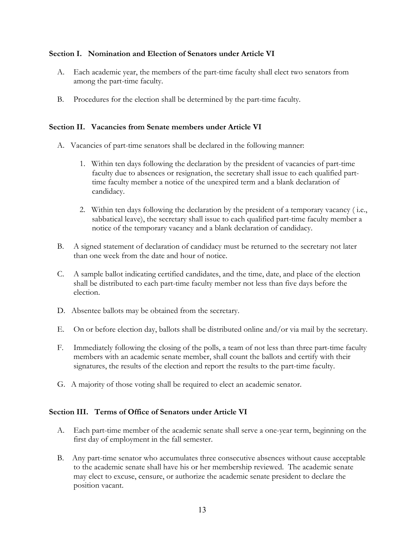#### **Section I. Nomination and Election of Senators under Article VI**

- A. Each academic year, the members of the part-time faculty shall elect two senators from among the part-time faculty.
- B. Procedures for the election shall be determined by the part-time faculty.

#### **Section II. Vacancies from Senate members under Article VI**

- A. Vacancies of part-time senators shall be declared in the following manner:
	- 1. Within ten days following the declaration by the president of vacancies of part-time faculty due to absences or resignation, the secretary shall issue to each qualified parttime faculty member a notice of the unexpired term and a blank declaration of candidacy.
	- 2. Within ten days following the declaration by the president of a temporary vacancy ( i.e., sabbatical leave), the secretary shall issue to each qualified part-time faculty member a notice of the temporary vacancy and a blank declaration of candidacy.
- B. A signed statement of declaration of candidacy must be returned to the secretary not later than one week from the date and hour of notice.
- C. A sample ballot indicating certified candidates, and the time, date, and place of the election shall be distributed to each part-time faculty member not less than five days before the election.
- D. Absentee ballots may be obtained from the secretary.
- E. On or before election day, ballots shall be distributed online and/or via mail by the secretary.
- F. Immediately following the closing of the polls, a team of not less than three part-time faculty members with an academic senate member, shall count the ballots and certify with their signatures, the results of the election and report the results to the part-time faculty.
- G. A majority of those voting shall be required to elect an academic senator.

#### **Section III. Terms of Office of Senators under Article VI**

- A. Each part-time member of the academic senate shall serve a one-year term, beginning on the first day of employment in the fall semester.
- B. Any part-time senator who accumulates three consecutive absences without cause acceptable to the academic senate shall have his or her membership reviewed. The academic senate may elect to excuse, censure, or authorize the academic senate president to declare the position vacant.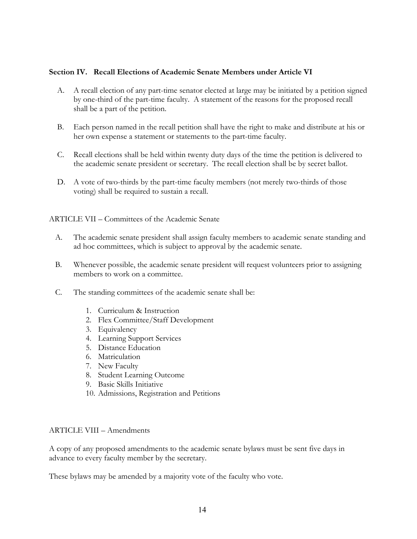#### **Section IV. Recall Elections of Academic Senate Members under Article VI**

- A. A recall election of any part-time senator elected at large may be initiated by a petition signed by one-third of the part-time faculty. A statement of the reasons for the proposed recall shall be a part of the petition.
- B. Each person named in the recall petition shall have the right to make and distribute at his or her own expense a statement or statements to the part-time faculty.
- C. Recall elections shall be held within twenty duty days of the time the petition is delivered to the academic senate president or secretary. The recall election shall be by secret ballot.
- D. A vote of two-thirds by the part-time faculty members (not merely two-thirds of those voting) shall be required to sustain a recall.

ARTICLE VII – Committees of the Academic Senate

- A. The academic senate president shall assign faculty members to academic senate standing and ad hoc committees, which is subject to approval by the academic senate.
- B. Whenever possible, the academic senate president will request volunteers prior to assigning members to work on a committee.
- C. The standing committees of the academic senate shall be:
	- 1. Curriculum & Instruction
	- 2. Flex Committee/Staff Development
	- 3. Equivalency
	- 4. Learning Support Services
	- 5. Distance Education
	- 6. Matriculation
	- 7. New Faculty
	- 8. Student Learning Outcome
	- 9. Basic Skills Initiative
	- 10. Admissions, Registration and Petitions

#### ARTICLE VIII – Amendments

A copy of any proposed amendments to the academic senate bylaws must be sent five days in advance to every faculty member by the secretary.

These bylaws may be amended by a majority vote of the faculty who vote.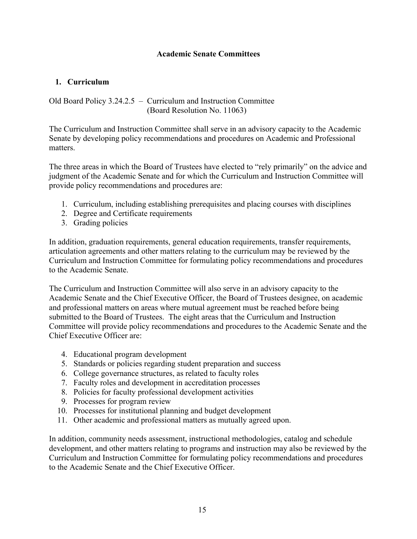#### **Academic Senate Committees**

#### **1. Curriculum**

Old Board Policy 3.24.2.5 – Curriculum and Instruction Committee (Board Resolution No. 11063)

The Curriculum and Instruction Committee shall serve in an advisory capacity to the Academic Senate by developing policy recommendations and procedures on Academic and Professional matters.

The three areas in which the Board of Trustees have elected to "rely primarily" on the advice and judgment of the Academic Senate and for which the Curriculum and Instruction Committee will provide policy recommendations and procedures are:

- 1. Curriculum, including establishing prerequisites and placing courses with disciplines
- 2. Degree and Certificate requirements
- 3. Grading policies

In addition, graduation requirements, general education requirements, transfer requirements, articulation agreements and other matters relating to the curriculum may be reviewed by the Curriculum and Instruction Committee for formulating policy recommendations and procedures to the Academic Senate.

The Curriculum and Instruction Committee will also serve in an advisory capacity to the Academic Senate and the Chief Executive Officer, the Board of Trustees designee, on academic and professional matters on areas where mutual agreement must be reached before being submitted to the Board of Trustees. The eight areas that the Curriculum and Instruction Committee will provide policy recommendations and procedures to the Academic Senate and the Chief Executive Officer are:

- 4. Educational program development
- 5. Standards or policies regarding student preparation and success
- 6. College governance structures, as related to faculty roles
- 7. Faculty roles and development in accreditation processes
- 8. Policies for faculty professional development activities
- 9. Processes for program review
- 10. Processes for institutional planning and budget development
- 11. Other academic and professional matters as mutually agreed upon.

In addition, community needs assessment, instructional methodologies, catalog and schedule development, and other matters relating to programs and instruction may also be reviewed by the Curriculum and Instruction Committee for formulating policy recommendations and procedures to the Academic Senate and the Chief Executive Officer.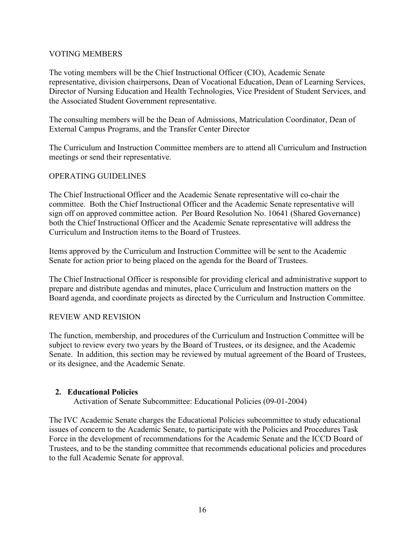#### VOTING MEMBERS

The voting members will be the Chief Instructional Officer (CIO), Academic Senate representative, division chairpersons, Dean of Vocational Education, Dean of Learning Services, Director of Nursing Education and Health Technologies, Vice President of Student Services, and the Associated Student Government representative.

The consulting members will be the Dean of Admissions, Matriculation Coordinator, Dean of External Campus Programs, and the Transfer Center Director

The Curriculum and Instruction Committee members are to attend all Curriculum and Instruction meetings or send their representative.

#### OPERATING GUIDELINES

The Chief Instructional Officer and the Academic Senate representative will co-chair the committee. Both the Chief Instructional Officer and the Academic Senate representative will sign off on approved committee action. Per Board Resolution No. 10641 (Shared Governance) both the Chief Instructional Officer and the Academic Senate representative will address the Curriculum and Instruction items to the Board of Trustees.

Items approved by the Curriculum and Instruction Committee will be sent to the Academic Senate for action prior to being placed on the agenda for the Board of Trustees.

The Chief Instructional Officer is responsible for providing clerical and administrative support to prepare and distribute agendas and minutes, place Curriculum and Instruction matters on the Board agenda, and coordinate projects as directed by the Curriculum and Instruction Committee.

#### REVIEW AND REVISION

The function, membership, and procedures of the Curriculum and Instruction Committee will be subject to review every two years by the Board of Trustees, or its designee, and the Academic Senate. In addition, this section may be reviewed by mutual agreement of the Board of Trustees, or its designee, and the Academic Senate.

#### **2. Educational Policies**

Activation of Senate Subcommittee: Educational Policies (09-01-2004)

The IVC Academic Senate charges the Educational Policies subcommittee to study educational issues of concern to the Academic Senate, to participate with the Policies and Procedures Task Force in the development of recommendations for the Academic Senate and the ICCD Board of Trustees, and to be the standing committee that recommends educational policies and procedures to the full Academic Senate for approval.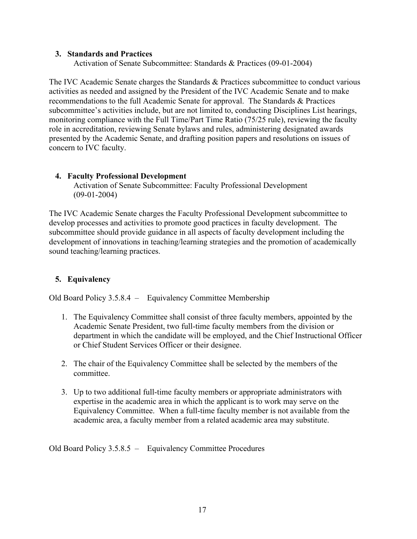#### **3. Standards and Practices**

Activation of Senate Subcommittee: Standards & Practices (09-01-2004)

The IVC Academic Senate charges the Standards & Practices subcommittee to conduct various activities as needed and assigned by the President of the IVC Academic Senate and to make recommendations to the full Academic Senate for approval. The Standards & Practices subcommittee's activities include, but are not limited to, conducting Disciplines List hearings, monitoring compliance with the Full Time/Part Time Ratio (75/25 rule), reviewing the faculty role in accreditation, reviewing Senate bylaws and rules, administering designated awards presented by the Academic Senate, and drafting position papers and resolutions on issues of concern to IVC faculty.

#### **4. Faculty Professional Development**

Activation of Senate Subcommittee: Faculty Professional Development (09-01-2004)

The IVC Academic Senate charges the Faculty Professional Development subcommittee to develop processes and activities to promote good practices in faculty development. The subcommittee should provide guidance in all aspects of faculty development including the development of innovations in teaching/learning strategies and the promotion of academically sound teaching/learning practices.

#### **5. Equivalency**

Old Board Policy 3.5.8.4 – Equivalency Committee Membership

- 1. The Equivalency Committee shall consist of three faculty members, appointed by the Academic Senate President, two full-time faculty members from the division or department in which the candidate will be employed, and the Chief Instructional Officer or Chief Student Services Officer or their designee.
- 2. The chair of the Equivalency Committee shall be selected by the members of the committee.
- 3. Up to two additional full-time faculty members or appropriate administrators with expertise in the academic area in which the applicant is to work may serve on the Equivalency Committee. When a full-time faculty member is not available from the academic area, a faculty member from a related academic area may substitute.

Old Board Policy 3.5.8.5 – Equivalency Committee Procedures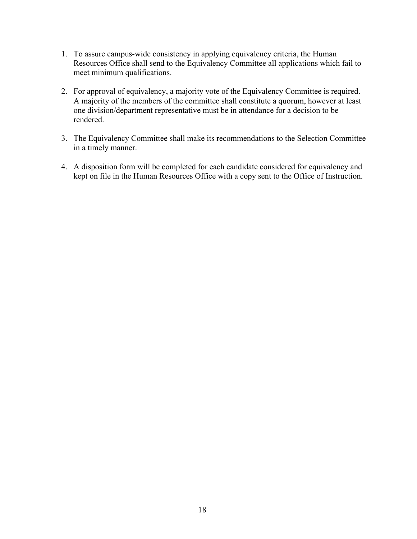- 1. To assure campus-wide consistency in applying equivalency criteria, the Human Resources Office shall send to the Equivalency Committee all applications which fail to meet minimum qualifications.
- 2. For approval of equivalency, a majority vote of the Equivalency Committee is required. A majority of the members of the committee shall constitute a quorum, however at least one division/department representative must be in attendance for a decision to be rendered.
- 3. The Equivalency Committee shall make its recommendations to the Selection Committee in a timely manner.
- 4. A disposition form will be completed for each candidate considered for equivalency and kept on file in the Human Resources Office with a copy sent to the Office of Instruction.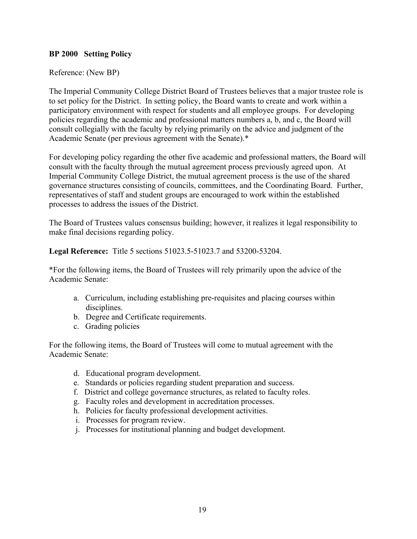#### **BP 2000 Setting Policy**

#### Reference: (New BP)

The Imperial Community College District Board of Trustees believes that a major trustee role is to set policy for the District. In setting policy, the Board wants to create and work within a participatory environment with respect for students and all employee groups. For developing policies regarding the academic and professional matters numbers a, b, and c, the Board will consult collegially with the faculty by relying primarily on the advice and judgment of the Academic Senate (per previous agreement with the Senate).\*

For developing policy regarding the other five academic and professional matters, the Board will consult with the faculty through the mutual agreement process previously agreed upon. At Imperial Community College District, the mutual agreement process is the use of the shared governance structures consisting of councils, committees, and the Coordinating Board. Further, representatives of staff and student groups are encouraged to work within the established processes to address the issues of the District.

The Board of Trustees values consensus building; however, it realizes it legal responsibility to make final decisions regarding policy.

**Legal Reference:** Title 5 sections 51023.5-51023.7 and 53200-53204.

\*For the following items, the Board of Trustees will rely primarily upon the advice of the Academic Senate:

- a. Curriculum, including establishing pre-requisites and placing courses within disciplines.
- b. Degree and Certificate requirements.
- c. Grading policies

For the following items, the Board of Trustees will come to mutual agreement with the Academic Senate:

- d. Educational program development.
- e. Standards or policies regarding student preparation and success.
- f. District and college governance structures, as related to faculty roles.
- g. Faculty roles and development in accreditation processes.
- h. Policies for faculty professional development activities.
- i. Processes for program review.
- j. Processes for institutional planning and budget development.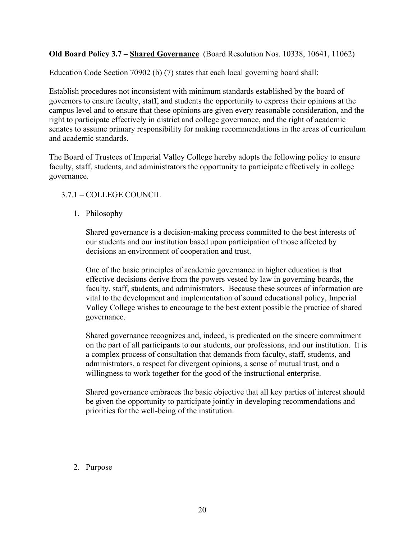**Old Board Policy 3.7 – Shared Governance** (Board Resolution Nos. 10338, 10641, 11062)

Education Code Section 70902 (b) (7) states that each local governing board shall:

Establish procedures not inconsistent with minimum standards established by the board of governors to ensure faculty, staff, and students the opportunity to express their opinions at the campus level and to ensure that these opinions are given every reasonable consideration, and the right to participate effectively in district and college governance, and the right of academic senates to assume primary responsibility for making recommendations in the areas of curriculum and academic standards.

The Board of Trustees of Imperial Valley College hereby adopts the following policy to ensure faculty, staff, students, and administrators the opportunity to participate effectively in college governance.

#### 3.7.1 – COLLEGE COUNCIL

#### 1. Philosophy

Shared governance is a decision-making process committed to the best interests of our students and our institution based upon participation of those affected by decisions an environment of cooperation and trust.

One of the basic principles of academic governance in higher education is that effective decisions derive from the powers vested by law in governing boards, the faculty, staff, students, and administrators. Because these sources of information are vital to the development and implementation of sound educational policy, Imperial Valley College wishes to encourage to the best extent possible the practice of shared governance.

Shared governance recognizes and, indeed, is predicated on the sincere commitment on the part of all participants to our students, our professions, and our institution. It is a complex process of consultation that demands from faculty, staff, students, and administrators, a respect for divergent opinions, a sense of mutual trust, and a willingness to work together for the good of the instructional enterprise.

Shared governance embraces the basic objective that all key parties of interest should be given the opportunity to participate jointly in developing recommendations and priorities for the well-being of the institution.

#### 2. Purpose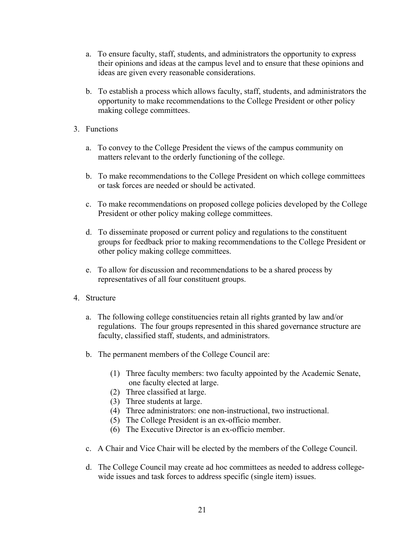- a. To ensure faculty, staff, students, and administrators the opportunity to express their opinions and ideas at the campus level and to ensure that these opinions and ideas are given every reasonable considerations.
- b. To establish a process which allows faculty, staff, students, and administrators the opportunity to make recommendations to the College President or other policy making college committees.
- 3. Functions
	- a. To convey to the College President the views of the campus community on matters relevant to the orderly functioning of the college.
	- b. To make recommendations to the College President on which college committees or task forces are needed or should be activated.
	- c. To make recommendations on proposed college policies developed by the College President or other policy making college committees.
	- d. To disseminate proposed or current policy and regulations to the constituent groups for feedback prior to making recommendations to the College President or other policy making college committees.
	- e. To allow for discussion and recommendations to be a shared process by representatives of all four constituent groups.
- 4. Structure
	- a. The following college constituencies retain all rights granted by law and/or regulations. The four groups represented in this shared governance structure are faculty, classified staff, students, and administrators.
	- b. The permanent members of the College Council are:
		- (1) Three faculty members: two faculty appointed by the Academic Senate, one faculty elected at large.
		- (2) Three classified at large.
		- (3) Three students at large.
		- (4) Three administrators: one non-instructional, two instructional.
		- (5) The College President is an ex-officio member.
		- (6) The Executive Director is an ex-officio member.
	- c. A Chair and Vice Chair will be elected by the members of the College Council.
	- d. The College Council may create ad hoc committees as needed to address collegewide issues and task forces to address specific (single item) issues.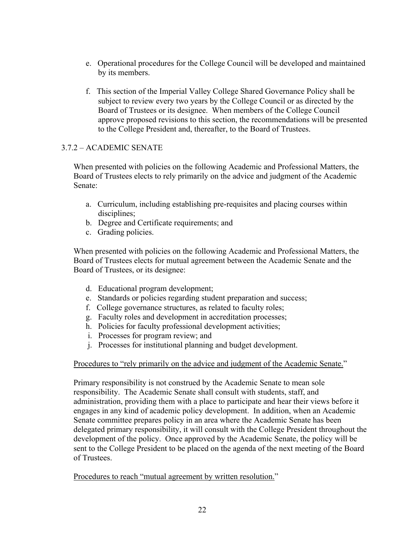- e. Operational procedures for the College Council will be developed and maintained by its members.
- f. This section of the Imperial Valley College Shared Governance Policy shall be subject to review every two years by the College Council or as directed by the Board of Trustees or its designee. When members of the College Council approve proposed revisions to this section, the recommendations will be presented to the College President and, thereafter, to the Board of Trustees.

#### 3.7.2 – ACADEMIC SENATE

When presented with policies on the following Academic and Professional Matters, the Board of Trustees elects to rely primarily on the advice and judgment of the Academic Senate:

- a. Curriculum, including establishing pre-requisites and placing courses within disciplines;
- b. Degree and Certificate requirements; and
- c. Grading policies.

When presented with policies on the following Academic and Professional Matters, the Board of Trustees elects for mutual agreement between the Academic Senate and the Board of Trustees, or its designee:

- d. Educational program development;
- e. Standards or policies regarding student preparation and success;
- f. College governance structures, as related to faculty roles;
- g. Faculty roles and development in accreditation processes;
- h. Policies for faculty professional development activities;
- i. Processes for program review; and
- j. Processes for institutional planning and budget development.

#### Procedures to "rely primarily on the advice and judgment of the Academic Senate."

Primary responsibility is not construed by the Academic Senate to mean sole responsibility. The Academic Senate shall consult with students, staff, and administration, providing them with a place to participate and hear their views before it engages in any kind of academic policy development. In addition, when an Academic Senate committee prepares policy in an area where the Academic Senate has been delegated primary responsibility, it will consult with the College President throughout the development of the policy. Once approved by the Academic Senate, the policy will be sent to the College President to be placed on the agenda of the next meeting of the Board of Trustees.

Procedures to reach "mutual agreement by written resolution."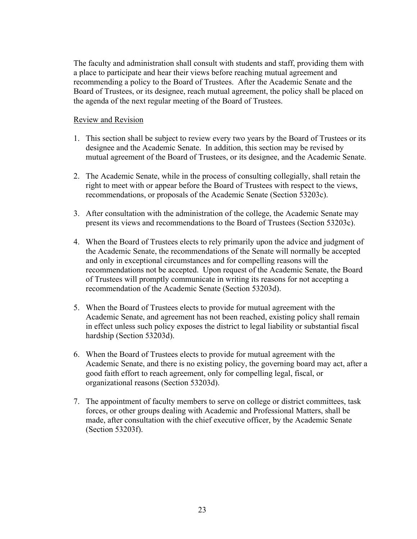The faculty and administration shall consult with students and staff, providing them with a place to participate and hear their views before reaching mutual agreement and recommending a policy to the Board of Trustees. After the Academic Senate and the Board of Trustees, or its designee, reach mutual agreement, the policy shall be placed on the agenda of the next regular meeting of the Board of Trustees.

#### Review and Revision

- 1. This section shall be subject to review every two years by the Board of Trustees or its designee and the Academic Senate. In addition, this section may be revised by mutual agreement of the Board of Trustees, or its designee, and the Academic Senate.
- 2. The Academic Senate, while in the process of consulting collegially, shall retain the right to meet with or appear before the Board of Trustees with respect to the views, recommendations, or proposals of the Academic Senate (Section 53203c).
- 3. After consultation with the administration of the college, the Academic Senate may present its views and recommendations to the Board of Trustees (Section 53203c).
- 4. When the Board of Trustees elects to rely primarily upon the advice and judgment of the Academic Senate, the recommendations of the Senate will normally be accepted and only in exceptional circumstances and for compelling reasons will the recommendations not be accepted. Upon request of the Academic Senate, the Board of Trustees will promptly communicate in writing its reasons for not accepting a recommendation of the Academic Senate (Section 53203d).
- 5. When the Board of Trustees elects to provide for mutual agreement with the Academic Senate, and agreement has not been reached, existing policy shall remain in effect unless such policy exposes the district to legal liability or substantial fiscal hardship (Section 53203d).
- 6. When the Board of Trustees elects to provide for mutual agreement with the Academic Senate, and there is no existing policy, the governing board may act, after a good faith effort to reach agreement, only for compelling legal, fiscal, or organizational reasons (Section 53203d).
- 7. The appointment of faculty members to serve on college or district committees, task forces, or other groups dealing with Academic and Professional Matters, shall be made, after consultation with the chief executive officer, by the Academic Senate (Section 53203f).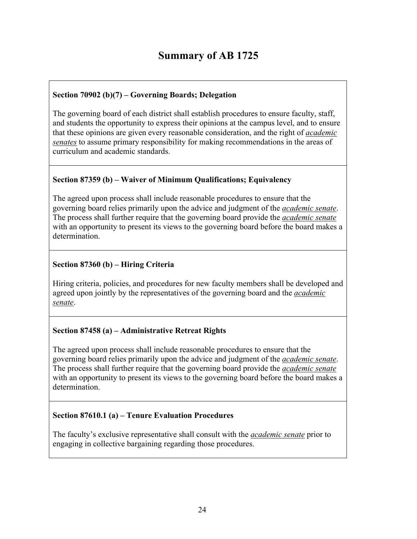## **Summary of AB 1725**

#### **Section 70902 (b)(7) – Governing Boards; Delegation**

The governing board of each district shall establish procedures to ensure faculty, staff, and students the opportunity to express their opinions at the campus level, and to ensure that these opinions are given every reasonable consideration, and the right of *academic senates* to assume primary responsibility for making recommendations in the areas of curriculum and academic standards.

#### **Section 87359 (b) – Waiver of Minimum Qualifications; Equivalency**

The agreed upon process shall include reasonable procedures to ensure that the governing board relies primarily upon the advice and judgment of the *academic senate*. The process shall further require that the governing board provide the *academic senate* with an opportunity to present its views to the governing board before the board makes a determination.

#### **Section 87360 (b) – Hiring Criteria**

Hiring criteria, policies, and procedures for new faculty members shall be developed and agreed upon jointly by the representatives of the governing board and the *academic senate*.

#### **Section 87458 (a) – Administrative Retreat Rights**

The agreed upon process shall include reasonable procedures to ensure that the governing board relies primarily upon the advice and judgment of the *academic senate*. The process shall further require that the governing board provide the *academic senate* with an opportunity to present its views to the governing board before the board makes a determination.

#### **Section 87610.1 (a) – Tenure Evaluation Procedures**

The faculty's exclusive representative shall consult with the *academic senate* prior to engaging in collective bargaining regarding those procedures.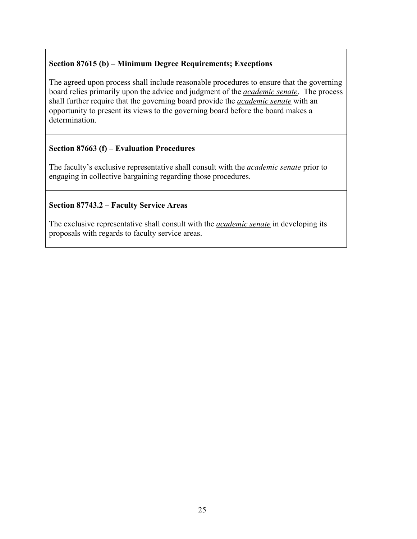#### **Section 87615 (b) – Minimum Degree Requirements; Exceptions**

The agreed upon process shall include reasonable procedures to ensure that the governing board relies primarily upon the advice and judgment of the *academic senate*. The process shall further require that the governing board provide the *academic senate* with an opportunity to present its views to the governing board before the board makes a determination.

#### **Section 87663 (f) – Evaluation Procedures**

The faculty's exclusive representative shall consult with the *academic senate* prior to engaging in collective bargaining regarding those procedures.

#### **Section 87743.2 – Faculty Service Areas**

The exclusive representative shall consult with the *academic senate* in developing its proposals with regards to faculty service areas.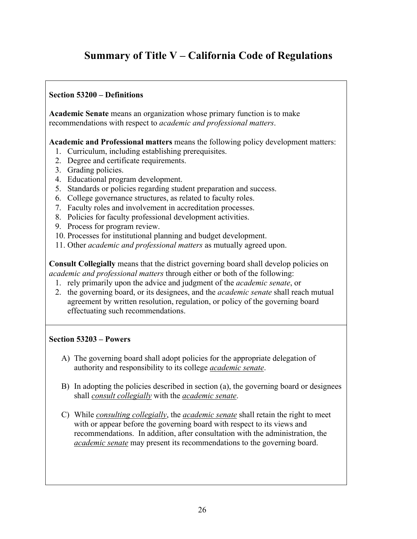## **Summary of Title V – California Code of Regulations**

#### **Section 53200 – Definitions**

**Academic Senate** means an organization whose primary function is to make recommendations with respect to *academic and professional matters*.

**Academic and Professional matters** means the following policy development matters:

- 1. Curriculum, including establishing prerequisites.
- 2. Degree and certificate requirements.
- 3. Grading policies.
- 4. Educational program development.
- 5. Standards or policies regarding student preparation and success.
- 6. College governance structures, as related to faculty roles.
- 7. Faculty roles and involvement in accreditation processes.
- 8. Policies for faculty professional development activities.
- 9. Process for program review.
- 10. Processes for institutional planning and budget development.
- 11. Other *academic and professional matters* as mutually agreed upon.

**Consult Collegially** means that the district governing board shall develop policies on *academic and professional matters* through either or both of the following:

- 1. rely primarily upon the advice and judgment of the *academic senate*, or
- 2. the governing board, or its designees, and the *academic senate* shall reach mutual agreement by written resolution, regulation, or policy of the governing board effectuating such recommendations.

#### **Section 53203 – Powers**

- A) The governing board shall adopt policies for the appropriate delegation of authority and responsibility to its college *academic senate*.
- B) In adopting the policies described in section (a), the governing board or designees shall *consult collegially* with the *academic senate*.
- C) While *consulting collegially*, the *academic senate* shall retain the right to meet with or appear before the governing board with respect to its views and recommendations. In addition, after consultation with the administration, the *academic senate* may present its recommendations to the governing board.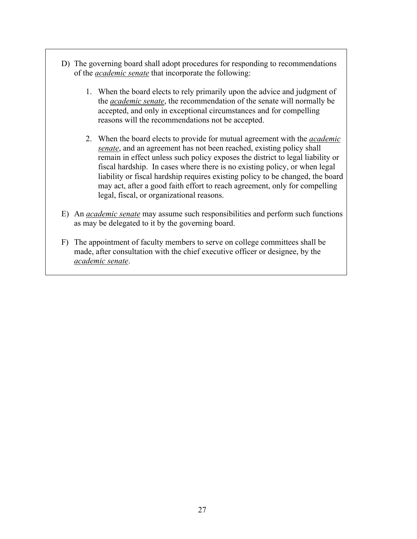- D) The governing board shall adopt procedures for responding to recommendations of the *academic senate* that incorporate the following:
	- 1. When the board elects to rely primarily upon the advice and judgment of the *academic senate*, the recommendation of the senate will normally be accepted, and only in exceptional circumstances and for compelling reasons will the recommendations not be accepted.
	- 2. When the board elects to provide for mutual agreement with the *academic senate*, and an agreement has not been reached, existing policy shall remain in effect unless such policy exposes the district to legal liability or fiscal hardship. In cases where there is no existing policy, or when legal liability or fiscal hardship requires existing policy to be changed, the board may act, after a good faith effort to reach agreement, only for compelling legal, fiscal, or organizational reasons.
- E) An *academic senate* may assume such responsibilities and perform such functions as may be delegated to it by the governing board.
- F) The appointment of faculty members to serve on college committees shall be made, after consultation with the chief executive officer or designee, by the *academic senate*.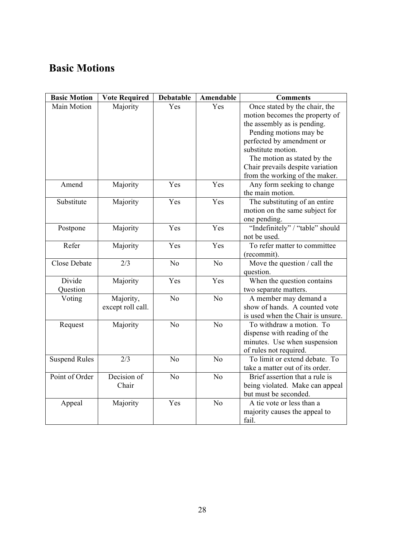## **Basic Motions**

| <b>Basic Motion</b>  | <b>Vote Required</b> | <b>Debatable</b> | Amendable       | <b>Comments</b>                   |
|----------------------|----------------------|------------------|-----------------|-----------------------------------|
| Main Motion          | Majority             | Yes              | Yes             | Once stated by the chair, the     |
|                      |                      |                  |                 | motion becomes the property of    |
|                      |                      |                  |                 | the assembly as is pending.       |
|                      |                      |                  |                 | Pending motions may be            |
|                      |                      |                  |                 | perfected by amendment or         |
|                      |                      |                  |                 | substitute motion.                |
|                      |                      |                  |                 | The motion as stated by the       |
|                      |                      |                  |                 | Chair prevails despite variation  |
|                      |                      |                  |                 | from the working of the maker.    |
| Amend                | Majority             | Yes              | Yes             | Any form seeking to change        |
|                      |                      |                  |                 | the main motion.                  |
| Substitute           | Majority             | Yes              | Yes             | The substituting of an entire     |
|                      |                      |                  |                 | motion on the same subject for    |
|                      |                      |                  |                 | one pending.                      |
| Postpone             | Majority             | Yes              | Yes             | "Indefinitely" / "table" should   |
|                      |                      |                  |                 | not be used.                      |
| Refer                | Majority             | Yes              | Yes             | To refer matter to committee      |
|                      |                      |                  |                 | (recommit).                       |
| <b>Close Debate</b>  | 2/3                  | N <sub>o</sub>   | N <sub>o</sub>  | Move the question / call the      |
|                      |                      |                  |                 | question.                         |
| Divide               | Majority             | Yes              | Yes             | When the question contains        |
| Question             |                      |                  |                 | two separate matters.             |
| Voting               | Majority,            | N <sub>o</sub>   | N <sub>o</sub>  | A member may demand a             |
|                      | except roll call.    |                  |                 | show of hands. A counted vote     |
|                      |                      |                  |                 | is used when the Chair is unsure. |
| Request              | Majority             | N <sub>o</sub>   | $\overline{No}$ | To withdraw a motion. To          |
|                      |                      |                  |                 | dispense with reading of the      |
|                      |                      |                  |                 | minutes. Use when suspension      |
|                      |                      |                  |                 | of rules not required.            |
| <b>Suspend Rules</b> | 2/3                  | N <sub>0</sub>   | N <sub>o</sub>  | To limit or extend debate. To     |
|                      |                      |                  |                 | take a matter out of its order.   |
| Point of Order       | Decision of          | N <sub>o</sub>   | N <sub>o</sub>  | Brief assertion that a rule is    |
|                      | Chair                |                  |                 | being violated. Make can appeal   |
|                      |                      |                  |                 | but must be seconded.             |
| Appeal               | Majority             | Yes              | No              | A tie vote or less than a         |
|                      |                      |                  |                 | majority causes the appeal to     |
|                      |                      |                  |                 | fail.                             |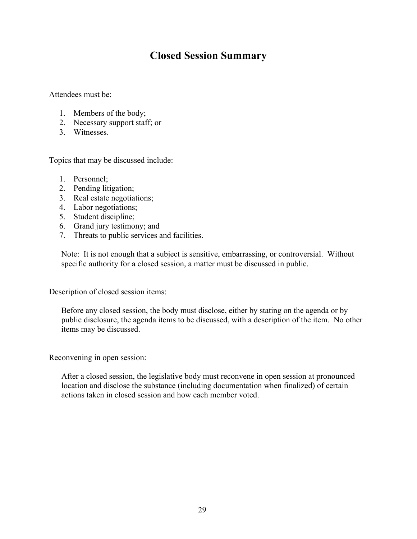## **Closed Session Summary**

Attendees must be:

- 1. Members of the body;
- 2. Necessary support staff; or
- 3. Witnesses.

Topics that may be discussed include:

- 1. Personnel;
- 2. Pending litigation;
- 3. Real estate negotiations;
- 4. Labor negotiations;
- 5. Student discipline;
- 6. Grand jury testimony; and
- 7. Threats to public services and facilities.

Note: It is not enough that a subject is sensitive, embarrassing, or controversial. Without specific authority for a closed session, a matter must be discussed in public.

Description of closed session items:

Before any closed session, the body must disclose, either by stating on the agenda or by public disclosure, the agenda items to be discussed, with a description of the item. No other items may be discussed.

Reconvening in open session:

After a closed session, the legislative body must reconvene in open session at pronounced location and disclose the substance (including documentation when finalized) of certain actions taken in closed session and how each member voted.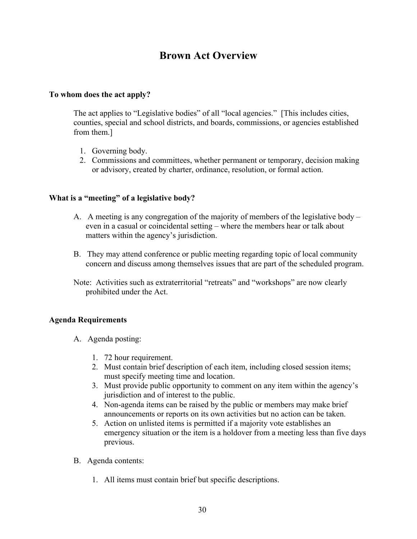## **Brown Act Overview**

#### **To whom does the act apply?**

The act applies to "Legislative bodies" of all "local agencies." [This includes cities, counties, special and school districts, and boards, commissions, or agencies established from them.]

- 1. Governing body.
- 2. Commissions and committees, whether permanent or temporary, decision making or advisory, created by charter, ordinance, resolution, or formal action.

#### **What is a "meeting" of a legislative body?**

- A. A meeting is any congregation of the majority of members of the legislative body even in a casual or coincidental setting – where the members hear or talk about matters within the agency's jurisdiction.
- B. They may attend conference or public meeting regarding topic of local community concern and discuss among themselves issues that are part of the scheduled program.
- Note: Activities such as extraterritorial "retreats" and "workshops" are now clearly prohibited under the Act.

#### **Agenda Requirements**

- A. Agenda posting:
	- 1. 72 hour requirement.
	- 2. Must contain brief description of each item, including closed session items; must specify meeting time and location.
	- 3. Must provide public opportunity to comment on any item within the agency's jurisdiction and of interest to the public.
	- 4. Non-agenda items can be raised by the public or members may make brief announcements or reports on its own activities but no action can be taken.
	- 5. Action on unlisted items is permitted if a majority vote establishes an emergency situation or the item is a holdover from a meeting less than five days previous.
- B. Agenda contents:
	- 1. All items must contain brief but specific descriptions.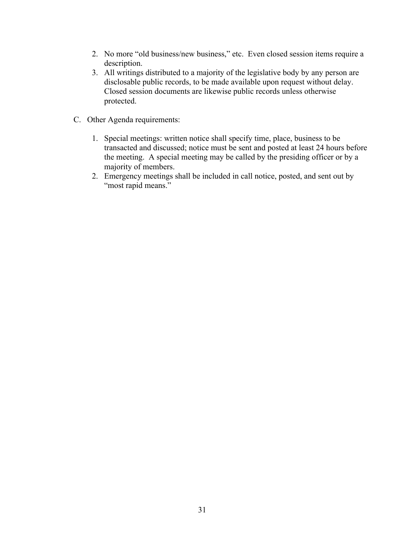- 2. No more "old business/new business," etc. Even closed session items require a description.
- 3. All writings distributed to a majority of the legislative body by any person are disclosable public records, to be made available upon request without delay. Closed session documents are likewise public records unless otherwise protected.
- C. Other Agenda requirements:
	- 1. Special meetings: written notice shall specify time, place, business to be transacted and discussed; notice must be sent and posted at least 24 hours before the meeting. A special meeting may be called by the presiding officer or by a majority of members.
	- 2. Emergency meetings shall be included in call notice, posted, and sent out by "most rapid means."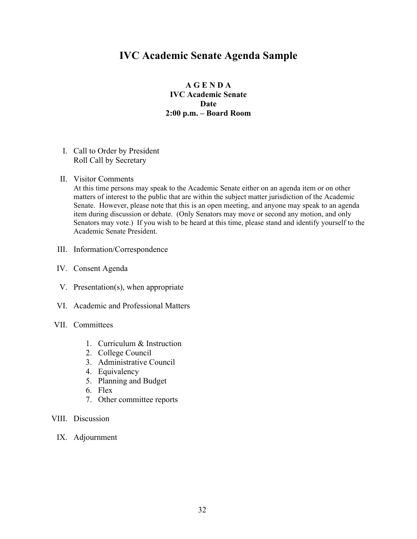### **IVC Academic Senate Agenda Sample**

#### **A G E N D A IVC Academic Senate Date 2:00 p.m. – Board Room**

- I. Call to Order by President Roll Call by Secretary
- II. Visitor Comments

At this time persons may speak to the Academic Senate either on an agenda item or on other matters of interest to the public that are within the subject matter jurisdiction of the Academic Senate. However, please note that this is an open meeting, and anyone may speak to an agenda item during discussion or debate. (Only Senators may move or second any motion, and only Senators may vote.) If you wish to be heard at this time, please stand and identify yourself to the Academic Senate President.

- III. Information/Correspondence
- IV. Consent Agenda
- V. Presentation(s), when appropriate
- VI. Academic and Professional Matters
- VII. Committees
	- 1. Curriculum & Instruction
	- 2. College Council
	- 3. Administrative Council
	- 4. Equivalency
	- 5. Planning and Budget
	- 6. Flex
	- 7. Other committee reports
- VIII. Discussion
	- IX. Adjournment